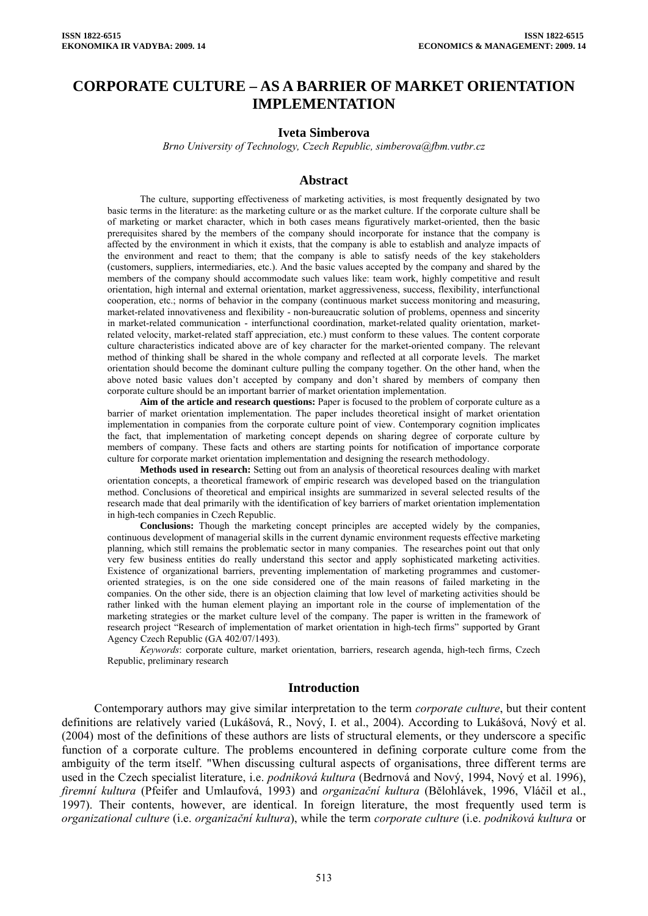# **CORPORATE CULTURE – AS A BARRIER OF MARKET ORIENTATION IMPLEMENTATION**

## **Iveta Simberova**

*Brno University of Technology, Czech Republic, simberova@fbm.vutbr.cz* 

#### **Abstract**

The culture, supporting effectiveness of marketing activities, is most frequently designated by two basic terms in the literature: as the marketing culture or as the market culture. If the corporate culture shall be of marketing or market character, which in both cases means figuratively market-oriented, then the basic prerequisites shared by the members of the company should incorporate for instance that the company is affected by the environment in which it exists, that the company is able to establish and analyze impacts of the environment and react to them; that the company is able to satisfy needs of the key stakeholders (customers, suppliers, intermediaries, etc.). And the basic values accepted by the company and shared by the members of the company should accommodate such values like: team work, highly competitive and result orientation, high internal and external orientation, market aggressiveness, success, flexibility, interfunctional cooperation, etc.; norms of behavior in the company (continuous market success monitoring and measuring, market-related innovativeness and flexibility - non-bureaucratic solution of problems, openness and sincerity in market-related communication - interfunctional coordination, market-related quality orientation, marketrelated velocity, market-related staff appreciation, etc.) must conform to these values. The content corporate culture characteristics indicated above are of key character for the market-oriented company. The relevant method of thinking shall be shared in the whole company and reflected at all corporate levels. The market orientation should become the dominant culture pulling the company together. On the other hand, when the above noted basic values don't accepted by company and don't shared by members of company then corporate culture should be an important barrier of market orientation implementation.

**Aim of the article and research questions:** Paper is focused to the problem of corporate culture as a barrier of market orientation implementation. The paper includes theoretical insight of market orientation implementation in companies from the corporate culture point of view. Contemporary cognition implicates the fact, that implementation of marketing concept depends on sharing degree of corporate culture by members of company. These facts and others are starting points for notification of importance corporate culture for corporate market orientation implementation and designing the research methodology.

**Methods used in research:** Setting out from an analysis of theoretical resources dealing with market orientation concepts, a theoretical framework of empiric research was developed based on the triangulation method. Conclusions of theoretical and empirical insights are summarized in several selected results of the research made that deal primarily with the identification of key barriers of market orientation implementation in high-tech companies in Czech Republic.

**Conclusions:** Though the marketing concept principles are accepted widely by the companies, continuous development of managerial skills in the current dynamic environment requests effective marketing planning, which still remains the problematic sector in many companies. The researches point out that only very few business entities do really understand this sector and apply sophisticated marketing activities. Existence of organizational barriers, preventing implementation of marketing programmes and customeroriented strategies, is on the one side considered one of the main reasons of failed marketing in the companies. On the other side, there is an objection claiming that low level of marketing activities should be rather linked with the human element playing an important role in the course of implementation of the marketing strategies or the market culture level of the company. The paper is written in the framework of research project "Research of implementation of market orientation in high-tech firms" supported by Grant Agency Czech Republic (GA 402/07/1493).

*Keywords*: corporate culture, market orientation, barriers, research agenda, high-tech firms, Czech Republic, preliminary research

#### **Introduction**

Contemporary authors may give similar interpretation to the term *corporate culture*, but their content definitions are relatively varied (Lukášová, R., Nový, I. et al., 2004). According to Lukášová, Nový et al. (2004) most of the definitions of these authors are lists of structural elements, or they underscore a specific function of a corporate culture. The problems encountered in defining corporate culture come from the ambiguity of the term itself. "When discussing cultural aspects of organisations, three different terms are used in the Czech specialist literature, i.e. *podniková kultura* (Bedrnová and Nový, 1994, Nový et al. 1996), *firemní kultura* (Pfeifer and Umlaufová, 1993) and *organizační kultura* (Bělohlávek, 1996, Vláčil et al., 1997). Their contents, however, are identical. In foreign literature, the most frequently used term is *organizational culture* (i.e. *organizační kultura*), while the term *corporate culture* (i.e. *podniková kultura* or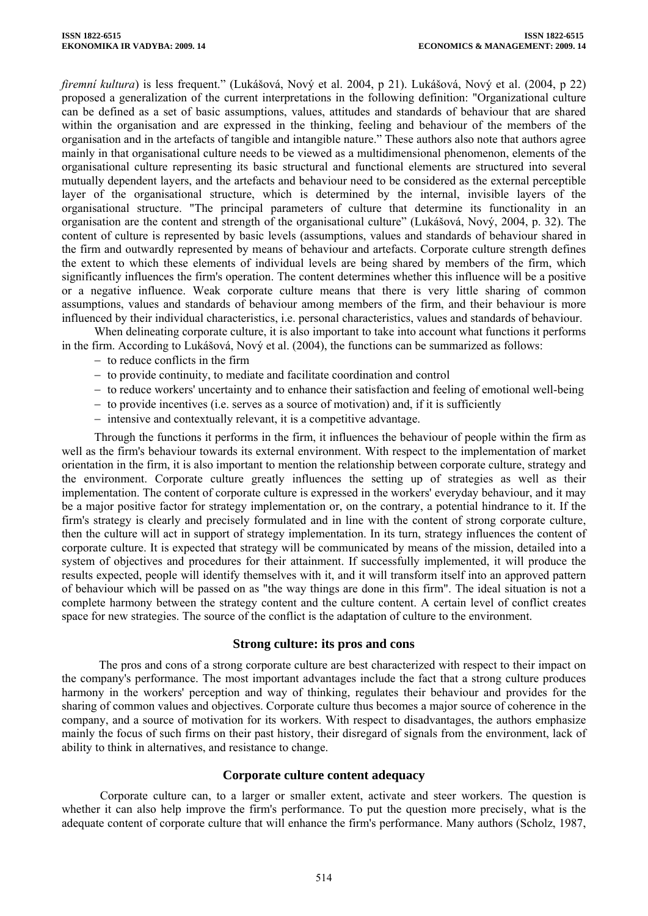*firemní kultura*) is less frequent." (Lukášová, Nový et al. 2004, p 21). Lukášová, Nový et al. (2004, p 22) proposed a generalization of the current interpretations in the following definition: "Organizational culture can be defined as a set of basic assumptions, values, attitudes and standards of behaviour that are shared within the organisation and are expressed in the thinking, feeling and behaviour of the members of the organisation and in the artefacts of tangible and intangible nature." These authors also note that authors agree mainly in that organisational culture needs to be viewed as a multidimensional phenomenon, elements of the organisational culture representing its basic structural and functional elements are structured into several mutually dependent layers, and the artefacts and behaviour need to be considered as the external perceptible layer of the organisational structure, which is determined by the internal, invisible layers of the organisational structure. "The principal parameters of culture that determine its functionality in an organisation are the content and strength of the organisational culture" (Lukášová, Nový, 2004, p. 32). The content of culture is represented by basic levels (assumptions, values and standards of behaviour shared in the firm and outwardly represented by means of behaviour and artefacts. Corporate culture strength defines the extent to which these elements of individual levels are being shared by members of the firm, which significantly influences the firm's operation. The content determines whether this influence will be a positive or a negative influence. Weak corporate culture means that there is very little sharing of common assumptions, values and standards of behaviour among members of the firm, and their behaviour is more influenced by their individual characteristics, i.e. personal characteristics, values and standards of behaviour.

When delineating corporate culture, it is also important to take into account what functions it performs in the firm. According to Lukášová, Nový et al. (2004), the functions can be summarized as follows:

- − to reduce conflicts in the firm
- − to provide continuity, to mediate and facilitate coordination and control
- − to reduce workers' uncertainty and to enhance their satisfaction and feeling of emotional well-being
- − to provide incentives (i.e. serves as a source of motivation) and, if it is sufficiently
- − intensive and contextually relevant, it is a competitive advantage.

Through the functions it performs in the firm, it influences the behaviour of people within the firm as well as the firm's behaviour towards its external environment. With respect to the implementation of market orientation in the firm, it is also important to mention the relationship between corporate culture, strategy and the environment. Corporate culture greatly influences the setting up of strategies as well as their implementation. The content of corporate culture is expressed in the workers' everyday behaviour, and it may be a major positive factor for strategy implementation or, on the contrary, a potential hindrance to it. If the firm's strategy is clearly and precisely formulated and in line with the content of strong corporate culture, then the culture will act in support of strategy implementation. In its turn, strategy influences the content of corporate culture. It is expected that strategy will be communicated by means of the mission, detailed into a system of objectives and procedures for their attainment. If successfully implemented, it will produce the results expected, people will identify themselves with it, and it will transform itself into an approved pattern of behaviour which will be passed on as "the way things are done in this firm". The ideal situation is not a complete harmony between the strategy content and the culture content. A certain level of conflict creates space for new strategies. The source of the conflict is the adaptation of culture to the environment.

### **Strong culture: its pros and cons**

The pros and cons of a strong corporate culture are best characterized with respect to their impact on the company's performance. The most important advantages include the fact that a strong culture produces harmony in the workers' perception and way of thinking, regulates their behaviour and provides for the sharing of common values and objectives. Corporate culture thus becomes a major source of coherence in the company, and a source of motivation for its workers. With respect to disadvantages, the authors emphasize mainly the focus of such firms on their past history, their disregard of signals from the environment, lack of ability to think in alternatives, and resistance to change.

### **Corporate culture content adequacy**

Corporate culture can, to a larger or smaller extent, activate and steer workers. The question is whether it can also help improve the firm's performance. To put the question more precisely, what is the adequate content of corporate culture that will enhance the firm's performance. Many authors (Scholz, 1987,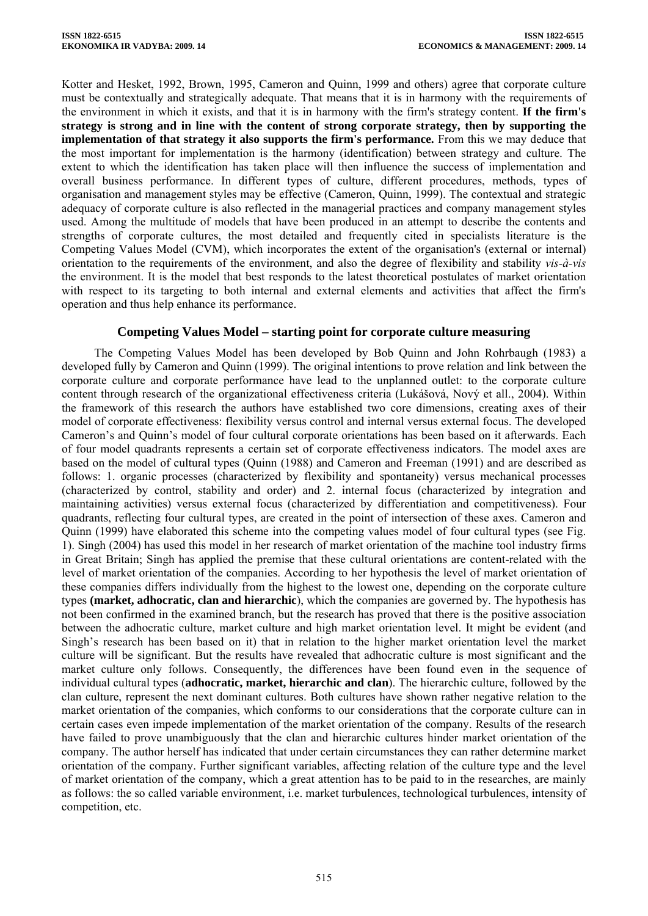Kotter and Hesket, 1992, Brown, 1995, Cameron and Quinn, 1999 and others) agree that corporate culture must be contextually and strategically adequate. That means that it is in harmony with the requirements of the environment in which it exists, and that it is in harmony with the firm's strategy content. **If the firm's strategy is strong and in line with the content of strong corporate strategy, then by supporting the implementation of that strategy it also supports the firm's performance.** From this we may deduce that the most important for implementation is the harmony (identification) between strategy and culture. The extent to which the identification has taken place will then influence the success of implementation and overall business performance. In different types of culture, different procedures, methods, types of organisation and management styles may be effective (Cameron, Quinn, 1999). The contextual and strategic adequacy of corporate culture is also reflected in the managerial practices and company management styles used. Among the multitude of models that have been produced in an attempt to describe the contents and strengths of corporate cultures, the most detailed and frequently cited in specialists literature is the Competing Values Model (CVM), which incorporates the extent of the organisation's (external or internal) orientation to the requirements of the environment, and also the degree of flexibility and stability *vis-à-vis* the environment. It is the model that best responds to the latest theoretical postulates of market orientation with respect to its targeting to both internal and external elements and activities that affect the firm's operation and thus help enhance its performance.

# **Competing Values Model – starting point for corporate culture measuring**

The Competing Values Model has been developed by Bob Quinn and John Rohrbaugh (1983) a developed fully by Cameron and Quinn (1999). The original intentions to prove relation and link between the corporate culture and corporate performance have lead to the unplanned outlet: to the corporate culture content through research of the organizational effectiveness criteria (Lukášová, Nový et all., 2004). Within the framework of this research the authors have established two core dimensions, creating axes of their model of corporate effectiveness: flexibility versus control and internal versus external focus. The developed Cameron's and Quinn's model of four cultural corporate orientations has been based on it afterwards. Each of four model quadrants represents a certain set of corporate effectiveness indicators. The model axes are based on the model of cultural types (Quinn (1988) and Cameron and Freeman (1991) and are described as follows: 1. organic processes (characterized by flexibility and spontaneity) versus mechanical processes (characterized by control, stability and order) and 2. internal focus (characterized by integration and maintaining activities) versus external focus (characterized by differentiation and competitiveness). Four quadrants, reflecting four cultural types, are created in the point of intersection of these axes. Cameron and Quinn (1999) have elaborated this scheme into the competing values model of four cultural types (see Fig. 1). Singh (2004) has used this model in her research of market orientation of the machine tool industry firms in Great Britain; Singh has applied the premise that these cultural orientations are content-related with the level of market orientation of the companies. According to her hypothesis the level of market orientation of these companies differs individually from the highest to the lowest one, depending on the corporate culture types **(market, adhocratic, clan and hierarchic**), which the companies are governed by. The hypothesis has not been confirmed in the examined branch, but the research has proved that there is the positive association between the adhocratic culture, market culture and high market orientation level. It might be evident (and Singh's research has been based on it) that in relation to the higher market orientation level the market culture will be significant. But the results have revealed that adhocratic culture is most significant and the market culture only follows. Consequently, the differences have been found even in the sequence of individual cultural types (**adhocratic, market, hierarchic and clan**). The hierarchic culture, followed by the clan culture, represent the next dominant cultures. Both cultures have shown rather negative relation to the market orientation of the companies, which conforms to our considerations that the corporate culture can in certain cases even impede implementation of the market orientation of the company. Results of the research have failed to prove unambiguously that the clan and hierarchic cultures hinder market orientation of the company. The author herself has indicated that under certain circumstances they can rather determine market orientation of the company. Further significant variables, affecting relation of the culture type and the level of market orientation of the company, which a great attention has to be paid to in the researches, are mainly as follows: the so called variable environment, i.e. market turbulences, technological turbulences, intensity of competition, etc.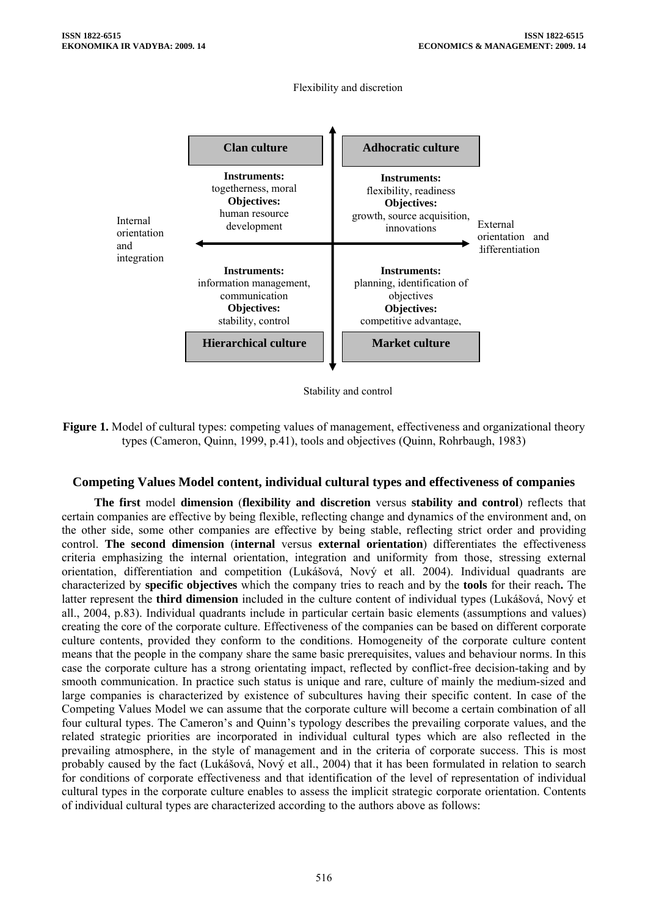

Flexibility and discretion



# **Competing Values Model content, individual cultural types and effectiveness of companies**

**The first** model **dimension** (**flexibility and discretion** versus **stability and control**) reflects that certain companies are effective by being flexible, reflecting change and dynamics of the environment and, on the other side, some other companies are effective by being stable, reflecting strict order and providing control. **The second dimension** (**internal** versus **external orientation**) differentiates the effectiveness criteria emphasizing the internal orientation, integration and uniformity from those, stressing external orientation, differentiation and competition (Lukášová, Nový et all. 2004). Individual quadrants are characterized by **specific objectives** which the company tries to reach and by the **tools** for their reach**.** The latter represent the **third dimension** included in the culture content of individual types (Lukášová, Nový et all., 2004, p.83). Individual quadrants include in particular certain basic elements (assumptions and values) creating the core of the corporate culture. Effectiveness of the companies can be based on different corporate culture contents, provided they conform to the conditions. Homogeneity of the corporate culture content means that the people in the company share the same basic prerequisites, values and behaviour norms. In this case the corporate culture has a strong orientating impact, reflected by conflict-free decision-taking and by smooth communication. In practice such status is unique and rare, culture of mainly the medium-sized and large companies is characterized by existence of subcultures having their specific content. In case of the Competing Values Model we can assume that the corporate culture will become a certain combination of all four cultural types. The Cameron's and Quinn's typology describes the prevailing corporate values, and the related strategic priorities are incorporated in individual cultural types which are also reflected in the prevailing atmosphere, in the style of management and in the criteria of corporate success. This is most probably caused by the fact (Lukášová, Nový et all., 2004) that it has been formulated in relation to search for conditions of corporate effectiveness and that identification of the level of representation of individual cultural types in the corporate culture enables to assess the implicit strategic corporate orientation. Contents of individual cultural types are characterized according to the authors above as follows: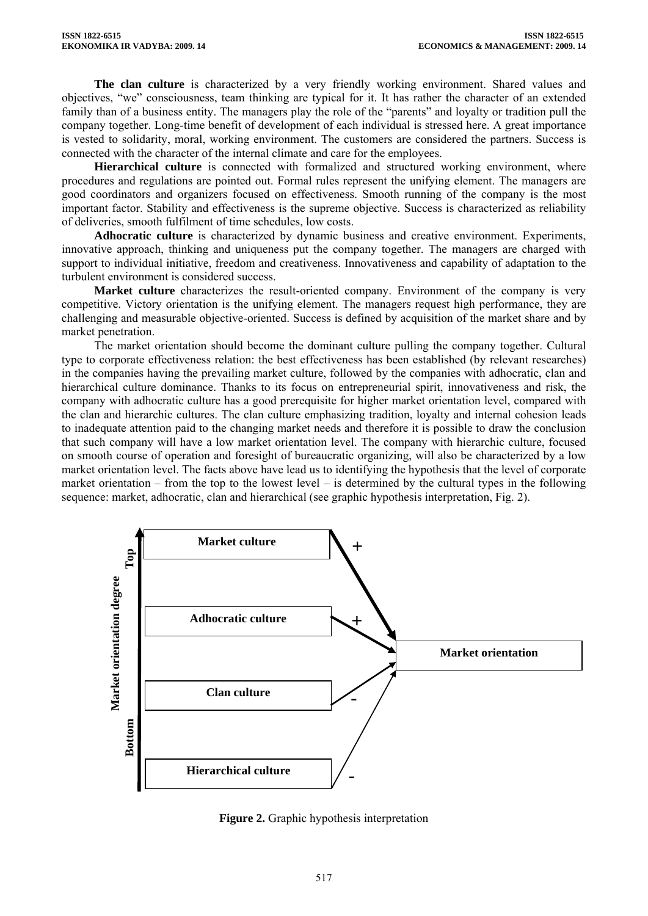**The clan culture** is characterized by a very friendly working environment. Shared values and objectives, "we" consciousness, team thinking are typical for it. It has rather the character of an extended family than of a business entity. The managers play the role of the "parents" and loyalty or tradition pull the company together. Long-time benefit of development of each individual is stressed here. A great importance is vested to solidarity, moral, working environment. The customers are considered the partners. Success is connected with the character of the internal climate and care for the employees.

Hierarchical culture is connected with formalized and structured working environment, where procedures and regulations are pointed out. Formal rules represent the unifying element. The managers are good coordinators and organizers focused on effectiveness. Smooth running of the company is the most important factor. Stability and effectiveness is the supreme objective. Success is characterized as reliability of deliveries, smooth fulfilment of time schedules, low costs.

**Adhocratic culture** is characterized by dynamic business and creative environment. Experiments, innovative approach, thinking and uniqueness put the company together. The managers are charged with support to individual initiative, freedom and creativeness. Innovativeness and capability of adaptation to the turbulent environment is considered success.

**Market culture** characterizes the result-oriented company. Environment of the company is very competitive. Victory orientation is the unifying element. The managers request high performance, they are challenging and measurable objective-oriented. Success is defined by acquisition of the market share and by market penetration.

The market orientation should become the dominant culture pulling the company together. Cultural type to corporate effectiveness relation: the best effectiveness has been established (by relevant researches) in the companies having the prevailing market culture, followed by the companies with adhocratic, clan and hierarchical culture dominance. Thanks to its focus on entrepreneurial spirit, innovativeness and risk, the company with adhocratic culture has a good prerequisite for higher market orientation level, compared with the clan and hierarchic cultures. The clan culture emphasizing tradition, loyalty and internal cohesion leads to inadequate attention paid to the changing market needs and therefore it is possible to draw the conclusion that such company will have a low market orientation level. The company with hierarchic culture, focused on smooth course of operation and foresight of bureaucratic organizing, will also be characterized by a low market orientation level. The facts above have lead us to identifying the hypothesis that the level of corporate market orientation – from the top to the lowest level – is determined by the cultural types in the following sequence: market, adhocratic, clan and hierarchical (see graphic hypothesis interpretation, Fig. 2).



**Figure 2.** Graphic hypothesis interpretation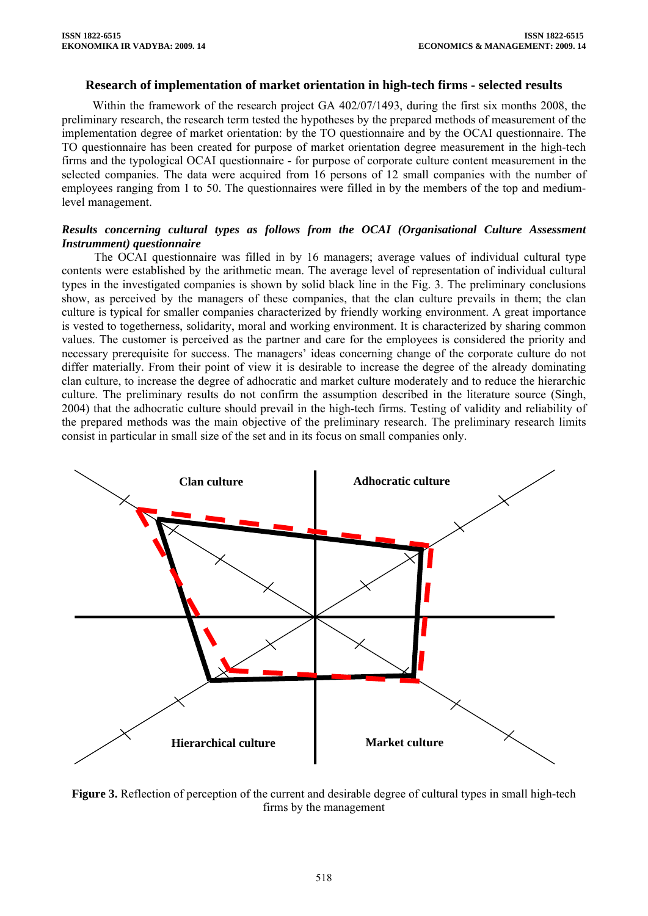### **Research of implementation of market orientation in high-tech firms - selected results**

Within the framework of the research project GA 402/07/1493, during the first six months 2008, the preliminary research, the research term tested the hypotheses by the prepared methods of measurement of the implementation degree of market orientation: by the TO questionnaire and by the OCAI questionnaire. The TO questionnaire has been created for purpose of market orientation degree measurement in the high-tech firms and the typological OCAI questionnaire - for purpose of corporate culture content measurement in the selected companies. The data were acquired from 16 persons of 12 small companies with the number of employees ranging from 1 to 50. The questionnaires were filled in by the members of the top and mediumlevel management.

### *Results concerning cultural types as follows from the OCAI (Organisational Culture Assessment Instrumment) questionnaire*

The OCAI questionnaire was filled in by 16 managers; average values of individual cultural type contents were established by the arithmetic mean. The average level of representation of individual cultural types in the investigated companies is shown by solid black line in the Fig. 3. The preliminary conclusions show, as perceived by the managers of these companies, that the clan culture prevails in them; the clan culture is typical for smaller companies characterized by friendly working environment. A great importance is vested to togetherness, solidarity, moral and working environment. It is characterized by sharing common values. The customer is perceived as the partner and care for the employees is considered the priority and necessary prerequisite for success. The managers' ideas concerning change of the corporate culture do not differ materially. From their point of view it is desirable to increase the degree of the already dominating clan culture, to increase the degree of adhocratic and market culture moderately and to reduce the hierarchic culture. The preliminary results do not confirm the assumption described in the literature source (Singh, 2004) that the adhocratic culture should prevail in the high-tech firms. Testing of validity and reliability of the prepared methods was the main objective of the preliminary research. The preliminary research limits consist in particular in small size of the set and in its focus on small companies only.



**Figure 3.** Reflection of perception of the current and desirable degree of cultural types in small high-tech firms by the management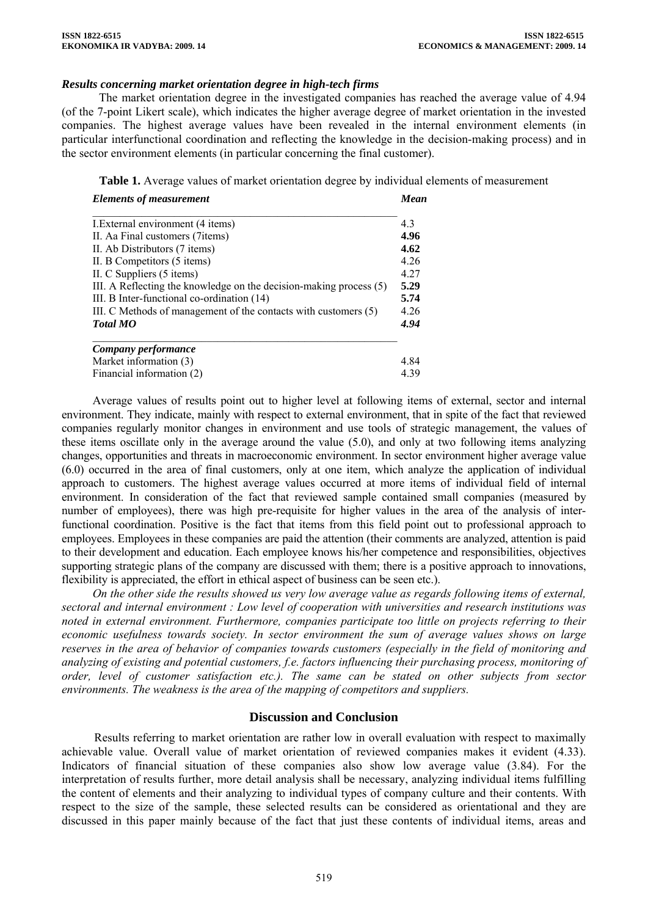#### *Results concerning market orientation degree in high-tech firms*

The market orientation degree in the investigated companies has reached the average value of 4.94 (of the 7-point Likert scale), which indicates the higher average degree of market orientation in the invested companies. The highest average values have been revealed in the internal environment elements (in particular interfunctional coordination and reflecting the knowledge in the decision-making process) and in the sector environment elements (in particular concerning the final customer).

**Table 1.** Average values of market orientation degree by individual elements of measurement

| <b>Elements of measurement</b><br>I. External environment (4 items)<br>II. Aa Final customers (7 items)<br>II. Ab Distributors (7 items)<br>II. B Competitors (5 items)<br>II. C Suppliers (5 items)<br>III. A Reflecting the knowledge on the decision-making process (5)<br>III. B Inter-functional co-ordination (14)<br>III. C Methods of management of the contacts with customers (5) | Mean<br>4.3<br>4.96<br>4.62<br>4.26<br>4.27<br>5.29<br>5.74<br>4.26 |                           |      |
|---------------------------------------------------------------------------------------------------------------------------------------------------------------------------------------------------------------------------------------------------------------------------------------------------------------------------------------------------------------------------------------------|---------------------------------------------------------------------|---------------------------|------|
|                                                                                                                                                                                                                                                                                                                                                                                             |                                                                     | <b>Total MO</b>           | 4.94 |
|                                                                                                                                                                                                                                                                                                                                                                                             |                                                                     | Company performance       |      |
|                                                                                                                                                                                                                                                                                                                                                                                             |                                                                     | Market information (3)    | 4.84 |
|                                                                                                                                                                                                                                                                                                                                                                                             |                                                                     | Financial information (2) | 439  |

Average values of results point out to higher level at following items of external, sector and internal environment. They indicate, mainly with respect to external environment, that in spite of the fact that reviewed companies regularly monitor changes in environment and use tools of strategic management, the values of these items oscillate only in the average around the value (5.0), and only at two following items analyzing changes, opportunities and threats in macroeconomic environment. In sector environment higher average value (6.0) occurred in the area of final customers, only at one item, which analyze the application of individual approach to customers. The highest average values occurred at more items of individual field of internal environment. In consideration of the fact that reviewed sample contained small companies (measured by number of employees), there was high pre-requisite for higher values in the area of the analysis of interfunctional coordination. Positive is the fact that items from this field point out to professional approach to employees. Employees in these companies are paid the attention (their comments are analyzed, attention is paid to their development and education. Each employee knows his/her competence and responsibilities, objectives supporting strategic plans of the company are discussed with them; there is a positive approach to innovations, flexibility is appreciated, the effort in ethical aspect of business can be seen etc.).

*On the other side the results showed us very low average value as regards following items of external, sectoral and internal environment : Low level of cooperation with universities and research institutions was noted in external environment. Furthermore, companies participate too little on projects referring to their economic usefulness towards society. In sector environment the sum of average values shows on large reserves in the area of behavior of companies towards customers (especially in the field of monitoring and analyzing of existing and potential customers, f.e. factors influencing their purchasing process, monitoring of order, level of customer satisfaction etc.). The same can be stated on other subjects from sector environments. The weakness is the area of the mapping of competitors and suppliers.* 

### **Discussion and Conclusion**

Results referring to market orientation are rather low in overall evaluation with respect to maximally achievable value. Overall value of market orientation of reviewed companies makes it evident (4.33). Indicators of financial situation of these companies also show low average value (3.84). For the interpretation of results further, more detail analysis shall be necessary, analyzing individual items fulfilling the content of elements and their analyzing to individual types of company culture and their contents. With respect to the size of the sample, these selected results can be considered as orientational and they are discussed in this paper mainly because of the fact that just these contents of individual items, areas and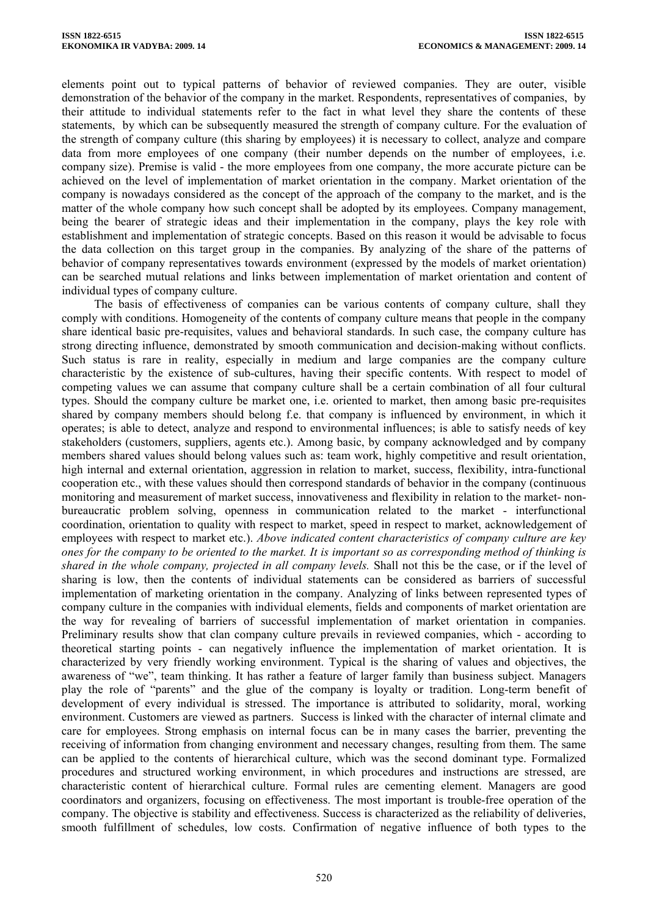elements point out to typical patterns of behavior of reviewed companies. They are outer, visible demonstration of the behavior of the company in the market. Respondents, representatives of companies, by their attitude to individual statements refer to the fact in what level they share the contents of these statements, by which can be subsequently measured the strength of company culture. For the evaluation of the strength of company culture (this sharing by employees) it is necessary to collect, analyze and compare data from more employees of one company (their number depends on the number of employees, i.e. company size). Premise is valid - the more employees from one company, the more accurate picture can be achieved on the level of implementation of market orientation in the company. Market orientation of the company is nowadays considered as the concept of the approach of the company to the market, and is the matter of the whole company how such concept shall be adopted by its employees. Company management, being the bearer of strategic ideas and their implementation in the company, plays the key role with establishment and implementation of strategic concepts. Based on this reason it would be advisable to focus the data collection on this target group in the companies. By analyzing of the share of the patterns of behavior of company representatives towards environment (expressed by the models of market orientation) can be searched mutual relations and links between implementation of market orientation and content of individual types of company culture.

The basis of effectiveness of companies can be various contents of company culture, shall they comply with conditions. Homogeneity of the contents of company culture means that people in the company share identical basic pre-requisites, values and behavioral standards. In such case, the company culture has strong directing influence, demonstrated by smooth communication and decision-making without conflicts. Such status is rare in reality, especially in medium and large companies are the company culture characteristic by the existence of sub-cultures, having their specific contents. With respect to model of competing values we can assume that company culture shall be a certain combination of all four cultural types. Should the company culture be market one, i.e. oriented to market, then among basic pre-requisites shared by company members should belong f.e. that company is influenced by environment, in which it operates; is able to detect, analyze and respond to environmental influences; is able to satisfy needs of key stakeholders (customers, suppliers, agents etc.). Among basic, by company acknowledged and by company members shared values should belong values such as: team work, highly competitive and result orientation, high internal and external orientation, aggression in relation to market, success, flexibility, intra-functional cooperation etc., with these values should then correspond standards of behavior in the company (continuous monitoring and measurement of market success, innovativeness and flexibility in relation to the market- nonbureaucratic problem solving, openness in communication related to the market - interfunctional coordination, orientation to quality with respect to market, speed in respect to market, acknowledgement of employees with respect to market etc.). *Above indicated content characteristics of company culture are key ones for the company to be oriented to the market. It is important so as corresponding method of thinking is shared in the whole company, projected in all company levels.* Shall not this be the case, or if the level of sharing is low, then the contents of individual statements can be considered as barriers of successful implementation of marketing orientation in the company. Analyzing of links between represented types of company culture in the companies with individual elements, fields and components of market orientation are the way for revealing of barriers of successful implementation of market orientation in companies. Preliminary results show that clan company culture prevails in reviewed companies, which - according to theoretical starting points - can negatively influence the implementation of market orientation. It is characterized by very friendly working environment. Typical is the sharing of values and objectives, the awareness of "we", team thinking. It has rather a feature of larger family than business subject. Managers play the role of "parents" and the glue of the company is loyalty or tradition. Long-term benefit of development of every individual is stressed. The importance is attributed to solidarity, moral, working environment. Customers are viewed as partners. Success is linked with the character of internal climate and care for employees. Strong emphasis on internal focus can be in many cases the barrier, preventing the receiving of information from changing environment and necessary changes, resulting from them. The same can be applied to the contents of hierarchical culture, which was the second dominant type. Formalized procedures and structured working environment, in which procedures and instructions are stressed, are characteristic content of hierarchical culture. Formal rules are cementing element. Managers are good coordinators and organizers, focusing on effectiveness. The most important is trouble-free operation of the company. The objective is stability and effectiveness. Success is characterized as the reliability of deliveries, smooth fulfillment of schedules, low costs. Confirmation of negative influence of both types to the